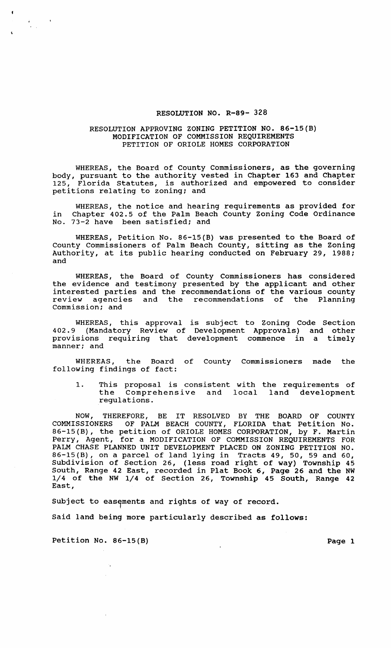## RESOLUTION NO. R-89- 328

## RESOLUTION APPROVING ZONING PETITION NO. 86-15(B) MODIFICATION OF COMMISSION REQUIREMENTS PETITION OF ORIOLE HOMES CORPORATION

WHEREAS, the Board of County Commissioners, as the governing body, pursuant to the authority vested in Chapter 163 and Chapter 125, Florida Statutes, is authorized and empowered to consider petitions relating to zoning; and

WHEREAS, the notice and hearing requirements as provided for in Chapter 402.5 of the Palm Beach County Zoning Code Ordinance No. 73-2 have been satisfied; and

WHEREAS, Petition No. 86-15(B) was presented to the Board of County Commissioners of Palm Beach County, sitting as the Zoning Authority, at its public hearing conducted on February 29, 1988; and

WHEREAS, the Board of County Commissioners has considered the evidence and testimony presented by the applicant and other interested parties and the recommendations of the various county review agencies and the recommendations of the Planning Commission; and

WHEREAS, this approval is subject to Zoning Code Section 402.9 (Mandatory Review of Development Approvals) and other provisions requiring that development commence in a timely manner; and

WHEREAS, the Board of County Commissioners made the following findings of fact:

1. This proposal is consistent with the requirements of the Comprehensive and local land development regulations.

NOW, THEREFORE, BE IT RESOLVED BY THE BOARD OF COUNTY COMMISSIONERS OF PALM BEACH COUNTY, FLORIDA that Petition No. 86-15(B), the petition of ORIOLE HOMES CORPORATION, by F. Martin Perry, Agent, for a MODIFICATION OF COMMISSION REQUIREMENTS FOR PALM CHASE PLANNED UNIT DEVELOPMENT PLACED ON ZONING PETITION NO. 86-15(B), on a parcel of land lying in Tracts 49, 50, 59 and 60, Subdivision of Section 26, (less road right of way) Township 45 South, Range 42 East, recorded in Plat Book 6, Page 26 and the NW 1/4 of the NW 1/4 of Section 26, Township 45 South, Range 42 East,

Subject to easements and rights of way of record.

Said land beinq more particularly described as follows:

Petition No. 86-15(B) Page 1

 $\frac{1}{2}$  .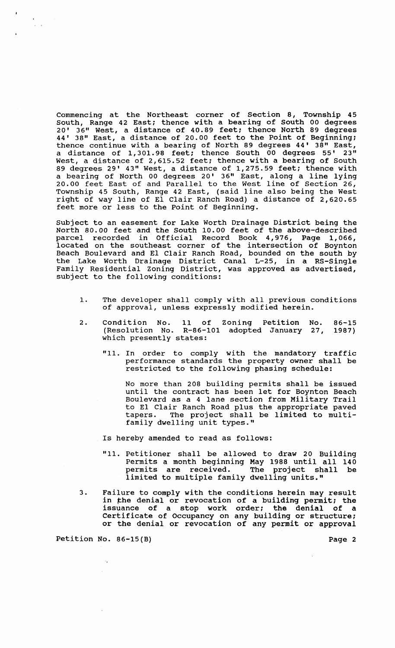Commencing at the Northeast corner of section 8, Township 45 South, Range 42 East; thence with a bearing of South 00 degrees 20' 36" West, a distance of 40.89 feet; thence North 89 degrees 44' 38" East, a distance of 20.00 feet to the Point of Beginning; thence continue with a bearing of North 89 degrees 44' 38" East, a distance of 1,301.98 feet; thence South 00 degrees 55' 23" West, a distance of 2,615.52 feet; thence with a bearing of South 89 degrees 29' 43" West, a distance of 1,275.59 feet; thence with a bearing of North 00 degrees 20' 36" East, along a line lying 20.00 feet East of and Parallel to the West line of Section 26, Township 45 South, Range 42 East, (said line also being the West right of way line of El Clair Ranch Road) a distance of 2,620.65 feet more or less to the Point of Beginning.

Subject to an easement for Lake Worth Drainage District being the North 80.00 feet and the South 10.00 feet of the above-described parcel recorded in Official Record Book 4,976, Page 1,066, located on the southeast corner of the intersection of Boynton Beach Boulevard and EI Clair Ranch Road, bounded on the south by the Lake Worth Drainage District Canal L-25, in a RS-Single Family Residential Zoning District, was approved as advertised, subject to the following conditions:

- 1. The developer shall comply with all previous conditions of approval, unless expressly modified herein.
- 2. Condition No. 11 of Zoning Petition (Resolution No. R-86-101 adopted January which presently states: No. 27, 86-15 1987)
	- "11. In order to comply with the mandatory traffic performance standards the property owner shall be restricted to the following phasing schedule:

No more than 208 building permits shall be issued until the contract has been let for Boynton Beach Boulevard as a 4 lane section from Military Trail to EI Clair Ranch Road plus the appropriate paved tapers. The project shall be limited to multifamily dwelling unit types."

Is hereby amended to read as follows:

- "11. Petitioner shall be allowed to draw 20 Building Permits a month beginning May 1988 until all 140 permits are received. The project shall be limited to multiple family dwelling units."
- 3. Failure to comply with the conditions herein may result in the denial or revocation of a building permit; the issuance of a stop work order; the denial of a Certificate of Occupancy on any building or structure; or the denial or revocation of any permit or approval

Petition No. 86-15(B) Page 2

 $\mathcal{A}_i$ 

 $\mathcal{L}^{\text{max}}$